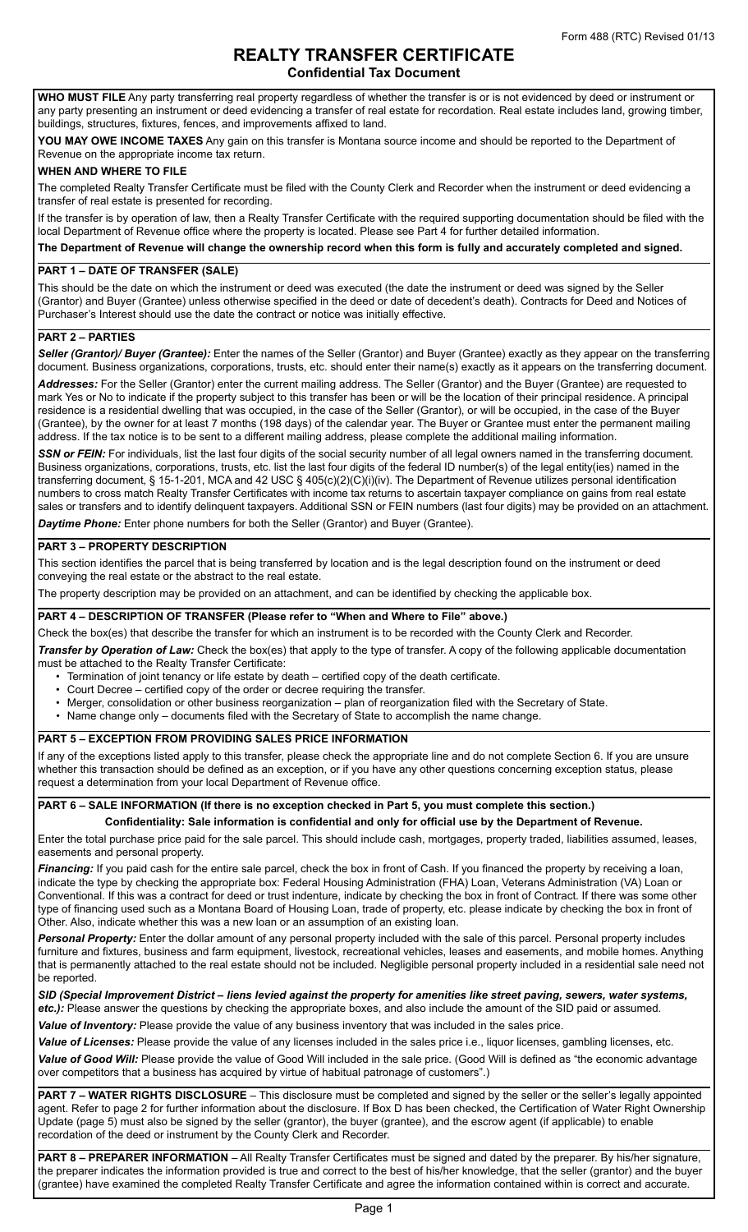# **REALTY TRANSFER CERTIFICATE Confidential Tax Document**

**WHO MUST FILE** Any party transferring real property regardless of whether the transfer is or is not evidenced by deed or instrument or any party presenting an instrument or deed evidencing a transfer of real estate for recordation. Real estate includes land, growing timber, buildings, structures, fixtures, fences, and improvements affixed to land.

**YOU MAY OWE INCOME TAXES** Any gain on this transfer is Montana source income and should be reported to the Department of Revenue on the appropriate income tax return.

#### **WHEN AND WHERE TO FILE**

The completed Realty Transfer Certificate must be filed with the County Clerk and Recorder when the instrument or deed evidencing a transfer of real estate is presented for recording.

If the transfer is by operation of law, then a Realty Transfer Certificate with the required supporting documentation should be filed with the local Department of Revenue office where the property is located. Please see Part 4 for further detailed information.

**The Department of Revenue will change the ownership record when this form is fully and accurately completed and signed.**

### **PART 1 – DATE OF TRANSFER (SALE)**

This should be the date on which the instrument or deed was executed (the date the instrument or deed was signed by the Seller (Grantor) and Buyer (Grantee) unless otherwise specified in the deed or date of decedent's death). Contracts for Deed and Notices of Purchaser's Interest should use the date the contract or notice was initially effective.

### **PART 2 – PARTIES**

*Seller (Grantor)/ Buyer (Grantee):* Enter the names of the Seller (Grantor) and Buyer (Grantee) exactly as they appear on the transferring document. Business organizations, corporations, trusts, etc. should enter their name(s) exactly as it appears on the transferring document.

*Addresses:* For the Seller (Grantor) enter the current mailing address. The Seller (Grantor) and the Buyer (Grantee) are requested to mark Yes or No to indicate if the property subject to this transfer has been or will be the location of their principal residence. A principal residence is a residential dwelling that was occupied, in the case of the Seller (Grantor), or will be occupied, in the case of the Buyer (Grantee), by the owner for at least 7 months (198 days) of the calendar year. The Buyer or Grantee must enter the permanent mailing address. If the tax notice is to be sent to a different mailing address, please complete the additional mailing information.

**SSN or FEIN:** For individuals, list the last four digits of the social security number of all legal owners named in the transferring document. Business organizations, corporations, trusts, etc. list the last four digits of the federal ID number(s) of the legal entity(ies) named in the transferring document, § 15-1-201, MCA and 42 USC § 405(c)(2)(C)(i)(iv). The Department of Revenue utilizes personal identification numbers to cross match Realty Transfer Certificates with income tax returns to ascertain taxpayer compliance on gains from real estate sales or transfers and to identify delinquent taxpayers. Additional SSN or FEIN numbers (last four digits) may be provided on an attachment. *Daytime Phone:* Enter phone numbers for both the Seller (Grantor) and Buyer (Grantee).

### **PART 3 – PROPERTY DESCRIPTION**

This section identifies the parcel that is being transferred by location and is the legal description found on the instrument or deed conveying the real estate or the abstract to the real estate.

The property description may be provided on an attachment, and can be identified by checking the applicable box.

### **PART 4 – DESCRIPTION OF TRANSFER (Please refer to "When and Where to File" above.)**

Check the box(es) that describe the transfer for which an instrument is to be recorded with the County Clerk and Recorder.

*Transfer by Operation of Law:* Check the box(es) that apply to the type of transfer. A copy of the following applicable documentation must be attached to the Realty Transfer Certificate:

- Termination of joint tenancy or life estate by death certified copy of the death certificate.
- Court Decree certified copy of the order or decree requiring the transfer.
- Merger, consolidation or other business reorganization plan of reorganization filed with the Secretary of State.
- Name change only documents filed with the Secretary of State to accomplish the name change.

### **PART 5 – EXCEPTION FROM PROVIDING SALES PRICE INFORMATION**

If any of the exceptions listed apply to this transfer, please check the appropriate line and do not complete Section 6. If you are unsure whether this transaction should be defined as an exception, or if you have any other questions concerning exception status, please request a determination from your local Department of Revenue office.

### **PART 6 – SALE INFORMATION (If there is no exception checked in Part 5, you must complete this section.)**

#### **Confidentiality: Sale information is confidential and only for official use by the Department of Revenue.**

Enter the total purchase price paid for the sale parcel. This should include cash, mortgages, property traded, liabilities assumed, leases, easements and personal property.

Financing: If you paid cash for the entire sale parcel, check the box in front of Cash. If you financed the property by receiving a loan, indicate the type by checking the appropriate box: Federal Housing Administration (FHA) Loan, Veterans Administration (VA) Loan or Conventional. If this was a contract for deed or trust indenture, indicate by checking the box in front of Contract. If there was some other type of financing used such as a Montana Board of Housing Loan, trade of property, etc. please indicate by checking the box in front of Other. Also, indicate whether this was a new loan or an assumption of an existing loan.

*Personal Property:* Enter the dollar amount of any personal property included with the sale of this parcel. Personal property includes furniture and fixtures, business and farm equipment, livestock, recreational vehicles, leases and easements, and mobile homes. Anything that is permanently attached to the real estate should not be included. Negligible personal property included in a residential sale need not be reported.

*SID (Special Improvement District – liens levied against the property for amenities like street paving, sewers, water systems, etc.):* Please answer the questions by checking the appropriate boxes, and also include the amount of the SID paid or assumed.

*Value of Inventory:* Please provide the value of any business inventory that was included in the sales price.

*Value of Licenses:* Please provide the value of any licenses included in the sales price i.e., liquor licenses, gambling licenses, etc. *Value of Good Will:* Please provide the value of Good Will included in the sale price. (Good Will is defined as "the economic advantage

over competitors that a business has acquired by virtue of habitual patronage of customers".)

**PART 7 – WATER RIGHTS DISCLOSURE** – This disclosure must be completed and signed by the seller or the seller's legally appointed agent. Refer to page 2 for further information about the disclosure. If Box D has been checked, the Certification of Water Right Ownership Update (page 5) must also be signed by the seller (grantor), the buyer (grantee), and the escrow agent (if applicable) to enable recordation of the deed or instrument by the County Clerk and Recorder.

PART 8 - PREPARER INFORMATION - All Realty Transfer Certificates must be signed and dated by the preparer. By his/her signature, the preparer indicates the information provided is true and correct to the best of his/her knowledge, that the seller (grantor) and the buyer (grantee) have examined the completed Realty Transfer Certificate and agree the information contained within is correct and accurate.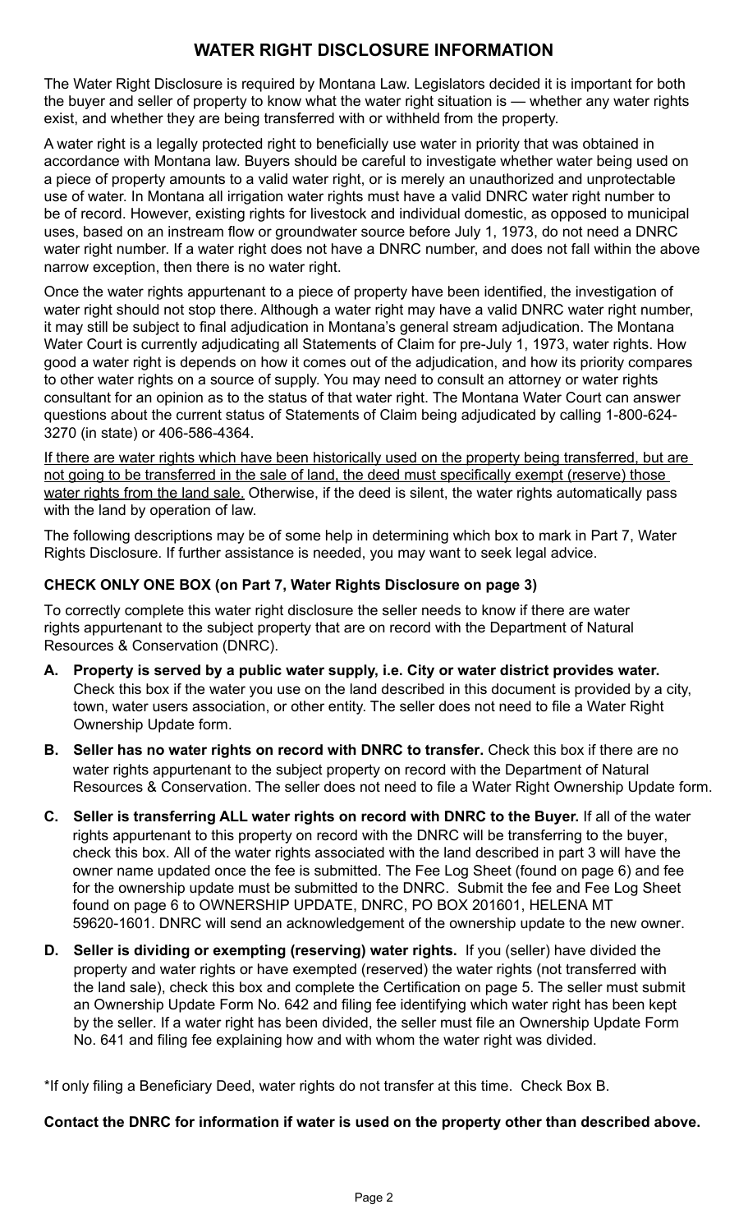# **WATER RIGHT DISCLOSURE INFORMATION**

The Water Right Disclosure is required by Montana Law. Legislators decided it is important for both the buyer and seller of property to know what the water right situation is — whether any water rights exist, and whether they are being transferred with or withheld from the property.

A water right is a legally protected right to beneficially use water in priority that was obtained in accordance with Montana law. Buyers should be careful to investigate whether water being used on a piece of property amounts to a valid water right, or is merely an unauthorized and unprotectable use of water. In Montana all irrigation water rights must have a valid DNRC water right number to be of record. However, existing rights for livestock and individual domestic, as opposed to municipal uses, based on an instream flow or groundwater source before July 1, 1973, do not need a DNRC water right number. If a water right does not have a DNRC number, and does not fall within the above narrow exception, then there is no water right.

Once the water rights appurtenant to a piece of property have been identified, the investigation of water right should not stop there. Although a water right may have a valid DNRC water right number, it may still be subject to final adjudication in Montana's general stream adjudication. The Montana Water Court is currently adjudicating all Statements of Claim for pre-July 1, 1973, water rights. How good a water right is depends on how it comes out of the adjudication, and how its priority compares to other water rights on a source of supply. You may need to consult an attorney or water rights consultant for an opinion as to the status of that water right. The Montana Water Court can answer questions about the current status of Statements of Claim being adjudicated by calling 1-800-624- 3270 (in state) or 406-586-4364.

If there are water rights which have been historically used on the property being transferred, but are not going to be transferred in the sale of land, the deed must specifically exempt (reserve) those water rights from the land sale. Otherwise, if the deed is silent, the water rights automatically pass with the land by operation of law.

The following descriptions may be of some help in determining which box to mark in Part 7, Water Rights Disclosure. If further assistance is needed, you may want to seek legal advice.

# **CHECK ONLY ONE BOX (on Part 7, Water Rights Disclosure on page 3)**

To correctly complete this water right disclosure the seller needs to know if there are water rights appurtenant to the subject property that are on record with the Department of Natural Resources & Conservation (DNRC).

- **A. Property is served by a public water supply, i.e. City or water district provides water.** Check this box if the water you use on the land described in this document is provided by a city, town, water users association, or other entity. The seller does not need to file a Water Right Ownership Update form.
- **B. Seller has no water rights on record with DNRC to transfer.** Check this box if there are no water rights appurtenant to the subject property on record with the Department of Natural Resources & Conservation. The seller does not need to file a Water Right Ownership Update form.
- **C. Seller is transferring ALL water rights on record with DNRC to the Buyer.** If all of the water rights appurtenant to this property on record with the DNRC will be transferring to the buyer, check this box. All of the water rights associated with the land described in part 3 will have the owner name updated once the fee is submitted. The Fee Log Sheet (found on page 6) and fee for the ownership update must be submitted to the DNRC. Submit the fee and Fee Log Sheet found on page 6 to OWNERSHIP UPDATE, DNRC, PO BOX 201601, HELENA MT 59620-1601. DNRC will send an acknowledgement of the ownership update to the new owner.
- **D. Seller is dividing or exempting (reserving) water rights.** If you (seller) have divided the property and water rights or have exempted (reserved) the water rights (not transferred with the land sale), check this box and complete the Certification on page 5. The seller must submit an Ownership Update Form No. 642 and filing fee identifying which water right has been kept by the seller. If a water right has been divided, the seller must file an Ownership Update Form No. 641 and filing fee explaining how and with whom the water right was divided.

\*If only filing a Beneficiary Deed, water rights do not transfer at this time. Check Box B.

# **Contact the DNRC for information if water is used on the property other than described above.**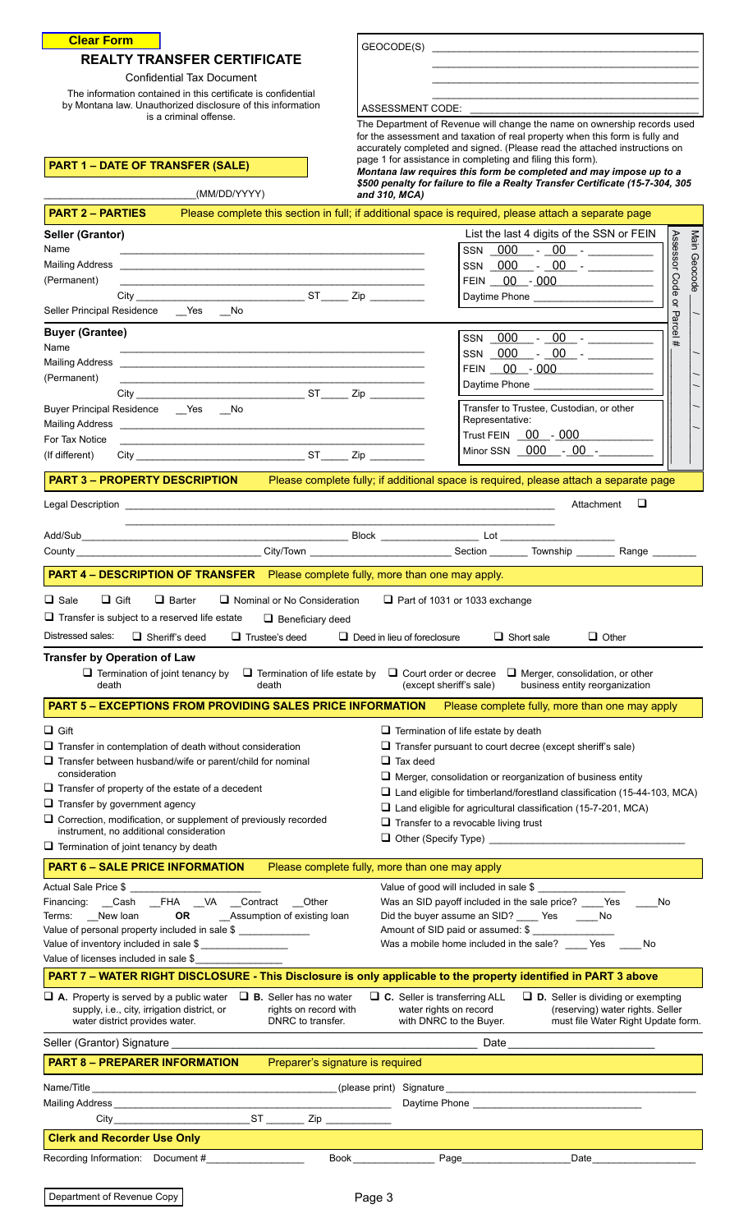# **REALTY TRANSFER CERTIFICATE Clear Form**

Confidential Tax Document

The information contained in this certificate is confidential by Montana law. Unauthorized disclosure of this information is a criminal offense.

| GEOCODE(S) |  |
|------------|--|
|            |  |
|            |  |

\_\_\_\_\_\_\_\_\_\_\_\_\_\_\_\_\_\_\_\_\_\_\_\_\_\_\_\_\_\_\_\_\_\_\_\_\_\_\_\_\_\_\_\_\_\_\_\_\_ ASSESSMENT CODE: \_\_\_\_\_\_\_\_\_\_\_\_\_\_\_\_\_\_\_\_\_\_\_\_\_\_\_\_\_\_\_\_\_\_\_\_\_\_\_\_\_\_

The Department of Revenue will change the name on ownership records used for the assessment and taxation of real property when this form is fully and accurately completed and signed. (Please read the attached instructions on page 1 for assistance in completing and filing this form).

\_\_\_\_\_\_\_\_\_\_\_\_\_\_\_\_\_\_\_\_\_\_\_\_\_\_\_\_\_\_\_\_\_\_\_\_\_\_\_\_\_\_\_\_\_\_\_\_\_ \_\_\_\_\_\_\_\_\_\_\_\_\_\_\_\_\_\_\_\_\_\_\_\_\_\_\_\_\_\_\_\_\_\_\_\_\_\_\_\_\_\_\_\_\_\_\_\_\_

| <b>PART 1 - DATE OF TRANSFER (SALE)</b>                                                                                                                                                                                                                                                                                                                                                                                                                                             |                                                | page 1 for assistance in completing and filing this form).                                                                                                                                                                                     | Montana law requires this form be completed and may impose up to a                                                                                                                                                                                         |                               |
|-------------------------------------------------------------------------------------------------------------------------------------------------------------------------------------------------------------------------------------------------------------------------------------------------------------------------------------------------------------------------------------------------------------------------------------------------------------------------------------|------------------------------------------------|------------------------------------------------------------------------------------------------------------------------------------------------------------------------------------------------------------------------------------------------|------------------------------------------------------------------------------------------------------------------------------------------------------------------------------------------------------------------------------------------------------------|-------------------------------|
| (MM/DD/YYYY)                                                                                                                                                                                                                                                                                                                                                                                                                                                                        | and 310, MCA)                                  |                                                                                                                                                                                                                                                | \$500 penalty for failure to file a Realty Transfer Certificate (15-7-304, 305                                                                                                                                                                             |                               |
| <b>PART 2 - PARTIES</b><br>Please complete this section in full; if additional space is required, please attach a separate page                                                                                                                                                                                                                                                                                                                                                     |                                                |                                                                                                                                                                                                                                                |                                                                                                                                                                                                                                                            |                               |
| Seller (Grantor)<br>Name<br>(Permanent)<br><u> 1989 - Paris Alexandri, prima estadounidense e a contineiro de la contineira de la contineira de la contineir</u>                                                                                                                                                                                                                                                                                                                    |                                                |                                                                                                                                                                                                                                                | List the last 4 digits of the SSN or FEIN<br>$SSN$ $000$ $ 00$ $-$<br>FEIN 00 - 000                                                                                                                                                                        | Assessor Code<br>Main Geocode |
|                                                                                                                                                                                                                                                                                                                                                                                                                                                                                     |                                                |                                                                                                                                                                                                                                                |                                                                                                                                                                                                                                                            | $\frac{1}{\mathcal{Q}}$       |
| Seller Principal Residence __ Yes __ No                                                                                                                                                                                                                                                                                                                                                                                                                                             |                                                |                                                                                                                                                                                                                                                |                                                                                                                                                                                                                                                            | Parcel                        |
| <b>Buyer (Grantee)</b><br>Name<br>(Permanent)<br><u> 1990 - Paris Paris, presidente e altres establecidos e altres estableces e altres estableces e altres establece</u><br>Buyer Principal Residence ___ Yes ___ No<br>For Tax Notice<br>the control of the control of the control of the control of the control of the control of<br>(If different)<br><b>PART 3 - PROPERTY DESCRIPTION</b> Please complete fully; if additional space is required, please attach a separate page |                                                | Representative:<br>Trust FEIN 00 - 000                                                                                                                                                                                                         | $SSN$ 000 - 00 - $-$<br>SSN 000 - 00 -<br>FEIN 00 - 000<br>Transfer to Trustee, Custodian, or other<br>Minor SSN 000 - 00 -                                                                                                                                | #                             |
|                                                                                                                                                                                                                                                                                                                                                                                                                                                                                     |                                                |                                                                                                                                                                                                                                                | ❏<br>Attachment                                                                                                                                                                                                                                            |                               |
|                                                                                                                                                                                                                                                                                                                                                                                                                                                                                     |                                                |                                                                                                                                                                                                                                                |                                                                                                                                                                                                                                                            |                               |
| <b>PART 4 – DESCRIPTION OF TRANSFER</b> Please complete fully, more than one may apply.                                                                                                                                                                                                                                                                                                                                                                                             |                                                |                                                                                                                                                                                                                                                |                                                                                                                                                                                                                                                            |                               |
| <b>Transfer by Operation of Law</b><br>$\Box$ Termination of joint tenancy by<br>death<br>death                                                                                                                                                                                                                                                                                                                                                                                     |                                                | (except sheriff's sale)                                                                                                                                                                                                                        | <b>Termination of life estate by D</b> Court order or decree <b>D</b> Merger, consolidation, or other<br>business entity reorganization                                                                                                                    |                               |
| PART 5 - EXCEPTIONS FROM PROVIDING SALES PRICE INFORMATION Please complete fully, more than one may apply                                                                                                                                                                                                                                                                                                                                                                           |                                                |                                                                                                                                                                                                                                                |                                                                                                                                                                                                                                                            |                               |
| $\Box$ Gift<br>$\Box$ Transfer in contemplation of death without consideration<br>$\Box$ Transfer between husband/wife or parent/child for nominal<br>consideration<br>$\Box$ Transfer of property of the estate of a decedent<br>$\Box$ Transfer by government agency<br>$\Box$ Correction, modification, or supplement of previously recorded<br>instrument, no additional consideration<br>$\Box$ Termination of joint tenancy by death                                          | $\Box$ Tax deed                                | $\Box$ Termination of life estate by death<br>$\Box$ Transfer pursuant to court decree (except sheriff's sale)<br>$\Box$ Transfer to a revocable living trust                                                                                  | $\Box$ Merger, consolidation or reorganization of business entity<br>$\Box$ Land eligible for timberland/forestland classification (15-44-103, MCA)<br>$\Box$ Land eligible for agricultural classification (15-7-201, MCA)<br>$\Box$ Other (Specify Type) |                               |
| <b>PART 6 - SALE PRICE INFORMATION</b>                                                                                                                                                                                                                                                                                                                                                                                                                                              | Please complete fully, more than one may apply |                                                                                                                                                                                                                                                |                                                                                                                                                                                                                                                            |                               |
| Actual Sale Price \$ __________________________<br>Financing: Cash _FHA _VA _Contract _Other<br>Terms: New loan<br>OR<br>__Assumption of existing loan<br>Value of personal property included in sale \$<br>Value of inventory included in sale \$<br>Value of licenses included in sale \$                                                                                                                                                                                         |                                                | Value of good will included in sale \$<br>Was an SID payoff included in the sale price? ____ Yes<br>Did the buyer assume an SID? _____ Yes ______ No<br>Amount of SID paid or assumed: \$<br>Was a mobile home included in the sale? _____ Yes | No                                                                                                                                                                                                                                                         | No                            |
| PART 7 - WATER RIGHT DISCLOSURE - This Disclosure is only applicable to the property identified in PART 3 above                                                                                                                                                                                                                                                                                                                                                                     |                                                |                                                                                                                                                                                                                                                |                                                                                                                                                                                                                                                            |                               |
| $\Box$ A. Property is served by a public water $\Box$ B. Seller has no water<br>supply, i.e., city, irrigation district, or<br>rights on record with<br>water district provides water.<br>DNRC to transfer.                                                                                                                                                                                                                                                                         |                                                | $\Box$ C. Seller is transferring ALL<br>water rights on record<br>with DNRC to the Buyer.                                                                                                                                                      | $\Box$ <b>D.</b> Seller is dividing or exempting<br>(reserving) water rights. Seller<br>must file Water Right Update form.                                                                                                                                 |                               |
| Seller (Grantor) Signature Law and Contract and Contract of the Contract of the Contract of the Contract of the Contract of the Contract of the Contract of the Contract of the Contract of the Contract of the Contract of th                                                                                                                                                                                                                                                      |                                                |                                                                                                                                                                                                                                                |                                                                                                                                                                                                                                                            |                               |
| <b>PART 8 - PREPARER INFORMATION</b>                                                                                                                                                                                                                                                                                                                                                                                                                                                | Preparer's signature is required               |                                                                                                                                                                                                                                                |                                                                                                                                                                                                                                                            |                               |
| Name/Title                                                                                                                                                                                                                                                                                                                                                                                                                                                                          |                                                |                                                                                                                                                                                                                                                |                                                                                                                                                                                                                                                            |                               |
| <b>Clerk and Recorder Use Only</b>                                                                                                                                                                                                                                                                                                                                                                                                                                                  |                                                |                                                                                                                                                                                                                                                |                                                                                                                                                                                                                                                            |                               |
| Recording Information: Document #                                                                                                                                                                                                                                                                                                                                                                                                                                                   | Book                                           | Page                                                                                                                                                                                                                                           | Date                                                                                                                                                                                                                                                       |                               |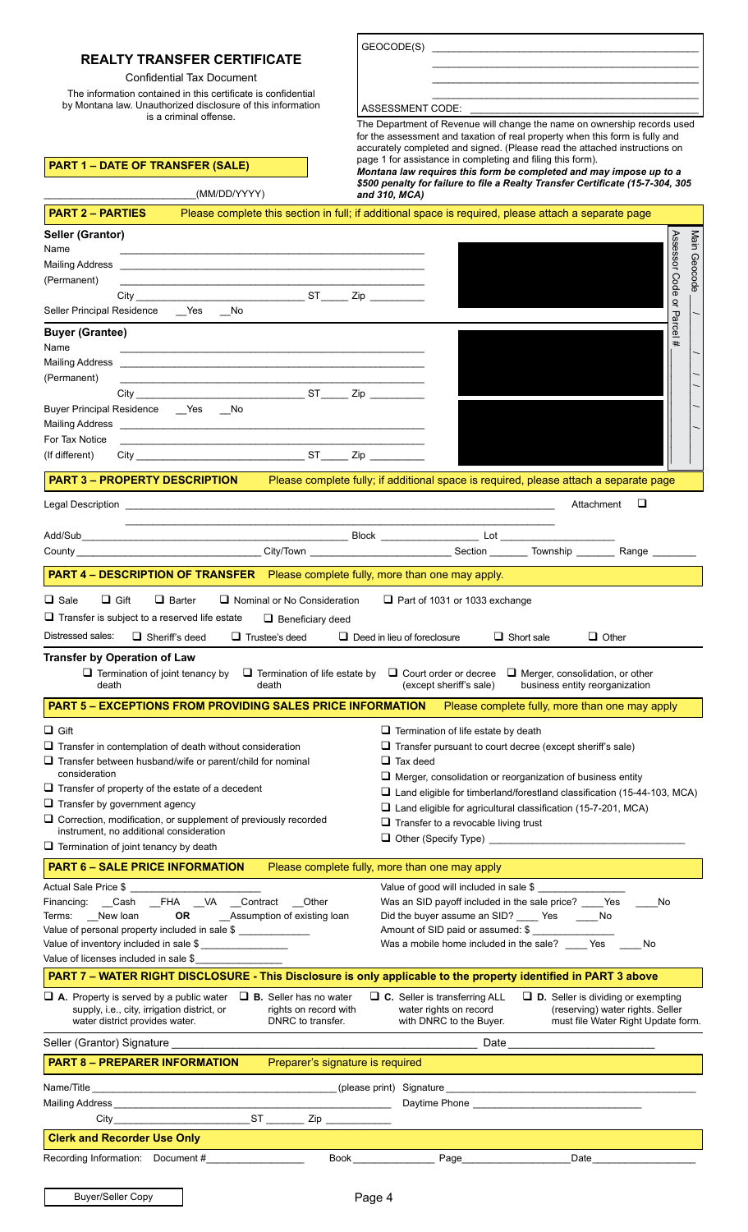# **REALTY TRANSFER CERTIFICATE**

Confidential Tax Document

The information contained in this certificate is confidential by Montana law. Unauthorized disclosure of this information is a criminal offense.

**PART 1 – DATE OF TRANSFER (SALE)**

| GEOCODE(S) |  |
|------------|--|
|            |  |

ASSESSMENT CODE:

The Department of Revenue will change the name on ownership records used for the assessment and taxation of real property when this form is fully and accurately completed and signed. (Please read the attached instructions on page 1 for assistance in completing and filing this form).

\_\_\_\_\_\_\_\_\_\_\_\_\_\_\_\_\_\_\_\_\_\_\_\_\_\_\_\_\_\_\_\_\_\_\_\_\_\_\_\_\_\_\_\_\_\_\_\_\_ \_\_\_\_\_\_\_\_\_\_\_\_\_\_\_\_\_\_\_\_\_\_\_\_\_\_\_\_\_\_\_\_\_\_\_\_\_\_\_\_\_\_\_\_\_\_\_\_\_

| (MM/DD/YYYY)                                                                                                                                                                                                                                 | Montana law requires this form be completed and may impose up to a<br>\$500 penalty for failure to file a Realty Transfer Certificate (15-7-304, 305<br>and 310, MCA)                                                                    |
|----------------------------------------------------------------------------------------------------------------------------------------------------------------------------------------------------------------------------------------------|------------------------------------------------------------------------------------------------------------------------------------------------------------------------------------------------------------------------------------------|
| <b>PART 2 - PARTIES</b>                                                                                                                                                                                                                      | Please complete this section in full; if additional space is required, please attach a separate page                                                                                                                                     |
| Seller (Grantor)                                                                                                                                                                                                                             |                                                                                                                                                                                                                                          |
| Name                                                                                                                                                                                                                                         | Main Geocode                                                                                                                                                                                                                             |
| Mailing Address <b>Address Contract Contract Contract Contract Contract Contract Contract Contract Contract Contract Contract Contract Contract Contract Contract Contract Contract Contract Contract Contract Contract Contra</b>           |                                                                                                                                                                                                                                          |
| (Permanent)                                                                                                                                                                                                                                  |                                                                                                                                                                                                                                          |
| Seller Principal Residence __ Yes __ No                                                                                                                                                                                                      | Assessor Code or Parcel                                                                                                                                                                                                                  |
| <b>Buyer (Grantee)</b>                                                                                                                                                                                                                       |                                                                                                                                                                                                                                          |
| Name                                                                                                                                                                                                                                         | #                                                                                                                                                                                                                                        |
| Mailing Address <b>International Control of Control Control Control Control Control Control Control Control Control Control Control Control Control Control Control Control Control Control Control Control Control Control Cont</b>         |                                                                                                                                                                                                                                          |
| (Permanent)<br>the control of the control of the control of the control of the control of the control of the control of the control of the control of the control of the control of the control of the control of the control of the control |                                                                                                                                                                                                                                          |
|                                                                                                                                                                                                                                              |                                                                                                                                                                                                                                          |
| Buyer Principal Residence __ Yes __ No<br><b>Mailing Address</b>                                                                                                                                                                             |                                                                                                                                                                                                                                          |
| For Tax Notice                                                                                                                                                                                                                               |                                                                                                                                                                                                                                          |
| (If different)                                                                                                                                                                                                                               |                                                                                                                                                                                                                                          |
| <b>PART 3 - PROPERTY DESCRIPTION</b>                                                                                                                                                                                                         | Please complete fully; if additional space is required, please attach a separate page                                                                                                                                                    |
|                                                                                                                                                                                                                                              | ❏<br>Attachment                                                                                                                                                                                                                          |
| the control of the control of the control of the control of                                                                                                                                                                                  |                                                                                                                                                                                                                                          |
|                                                                                                                                                                                                                                              |                                                                                                                                                                                                                                          |
|                                                                                                                                                                                                                                              |                                                                                                                                                                                                                                          |
| <b>PART 4 – DESCRIPTION OF TRANSFER</b> Please complete fully, more than one may apply.                                                                                                                                                      |                                                                                                                                                                                                                                          |
| $\square$ Sale<br>$\Box$ Gift<br>$\Box$ Barter<br>$\Box$ Nominal or No Consideration                                                                                                                                                         | $\Box$ Part of 1031 or 1033 exchange                                                                                                                                                                                                     |
| $\Box$ Transfer is subject to a reserved life estate<br>$\Box$ Beneficiary deed                                                                                                                                                              |                                                                                                                                                                                                                                          |
| Distressed sales:<br>$\Box$ Sheriff's deed<br>$\Box$ Trustee's deed                                                                                                                                                                          | $\Box$ Deed in lieu of foreclosure<br>$\Box$ Short sale<br>$\Box$ Other                                                                                                                                                                  |
| <b>Transfer by Operation of Law</b>                                                                                                                                                                                                          |                                                                                                                                                                                                                                          |
| $\Box$ Termination of joint tenancy by<br>death<br>death                                                                                                                                                                                     | $\Box$ Termination of life estate by $\Box$ Court order or decree $\Box$ Merger, consolidation, or other<br>(except sheriff's sale)<br>business entity reorganization                                                                    |
| <b>PART 5 - EXCEPTIONS FROM PROVIDING SALES PRICE INFORMATION</b>                                                                                                                                                                            | Please complete fully, more than one may apply                                                                                                                                                                                           |
| $\square$ Gift                                                                                                                                                                                                                               | $\Box$ Termination of life estate by death                                                                                                                                                                                               |
| $\Box$ Transfer in contemplation of death without consideration                                                                                                                                                                              | $\Box$ Transfer pursuant to court decree (except sheriff's sale)                                                                                                                                                                         |
| $\Box$ Transfer between husband/wife or parent/child for nominal                                                                                                                                                                             | $\Box$ Tax deed                                                                                                                                                                                                                          |
| consideration<br>$\Box$ Transfer of property of the estate of a decedent                                                                                                                                                                     | $\Box$ Merger, consolidation or reorganization of business entity                                                                                                                                                                        |
| $\Box$ Transfer by government agency                                                                                                                                                                                                         | $\Box$ Land eligible for timberland/forestland classification (15-44-103, MCA)                                                                                                                                                           |
| $\Box$ Correction, modification, or supplement of previously recorded                                                                                                                                                                        | $\Box$ Land eligible for agricultural classification (15-7-201, MCA)<br>$\Box$ Transfer to a revocable living trust                                                                                                                      |
| instrument, no additional consideration                                                                                                                                                                                                      |                                                                                                                                                                                                                                          |
| $\Box$ Termination of joint tenancy by death                                                                                                                                                                                                 |                                                                                                                                                                                                                                          |
| <b>PART 6 - SALE PRICE INFORMATION</b>                                                                                                                                                                                                       | Please complete fully, more than one may apply                                                                                                                                                                                           |
|                                                                                                                                                                                                                                              | Value of good will included in sale \$                                                                                                                                                                                                   |
| Financing: __Cash __FHA __VA __Contract __Other<br>Terms: New Ioan OR Assumption of existing Ioan                                                                                                                                            | Was an SID payoff included in the sale price? _____ Yes<br>in No<br>Did the buyer assume an SID? _____ Yes ______ No                                                                                                                     |
| Value of personal property included in sale \$                                                                                                                                                                                               | Amount of SID paid or assumed: \$                                                                                                                                                                                                        |
| Value of inventory included in sale \$                                                                                                                                                                                                       | Was a mobile home included in the sale? _____ Yes<br>No                                                                                                                                                                                  |
| Value of licenses included in sale \$                                                                                                                                                                                                        |                                                                                                                                                                                                                                          |
|                                                                                                                                                                                                                                              | PART 7 - WATER RIGHT DISCLOSURE - This Disclosure is only applicable to the property identified in PART 3 above                                                                                                                          |
| $\Box$ A. Property is served by a public water $\Box$ B. Seller has no water<br>supply, i.e., city, irrigation district, or<br>rights on record with<br>water district provides water.<br>DNRC to transfer.                                  | $\Box$ C. Seller is transferring ALL<br>$\Box$ <b>D.</b> Seller is dividing or exempting<br>water rights on record<br>(reserving) water rights. Seller<br>with DNRC to the Buyer.<br>must file Water Right Update form.                  |
| Seller (Grantor) Signature                                                                                                                                                                                                                   |                                                                                                                                                                                                                                          |
| <b>PART 8 - PREPARER INFORMATION</b>                                                                                                                                                                                                         | Preparer's signature is required                                                                                                                                                                                                         |
|                                                                                                                                                                                                                                              | Name/Title <b>Constitution of the Constitution of the Constitution</b> (please print) Signature <b>Constitution of the Constitution</b> of the Constitution of the Constitution of the Constitution of the Constitution of the Constitut |
| Mailing Address <b>Contract Contract Contract Contract Contract Contract Contract Contract Contract Contract Contract Contract Contract Contract Contract Contract Contract Contract Contract Contract Contract Contract Contrac</b>         |                                                                                                                                                                                                                                          |
|                                                                                                                                                                                                                                              |                                                                                                                                                                                                                                          |
| <b>Clerk and Recorder Use Only</b>                                                                                                                                                                                                           |                                                                                                                                                                                                                                          |
|                                                                                                                                                                                                                                              | Date                                                                                                                                                                                                                                     |
|                                                                                                                                                                                                                                              |                                                                                                                                                                                                                                          |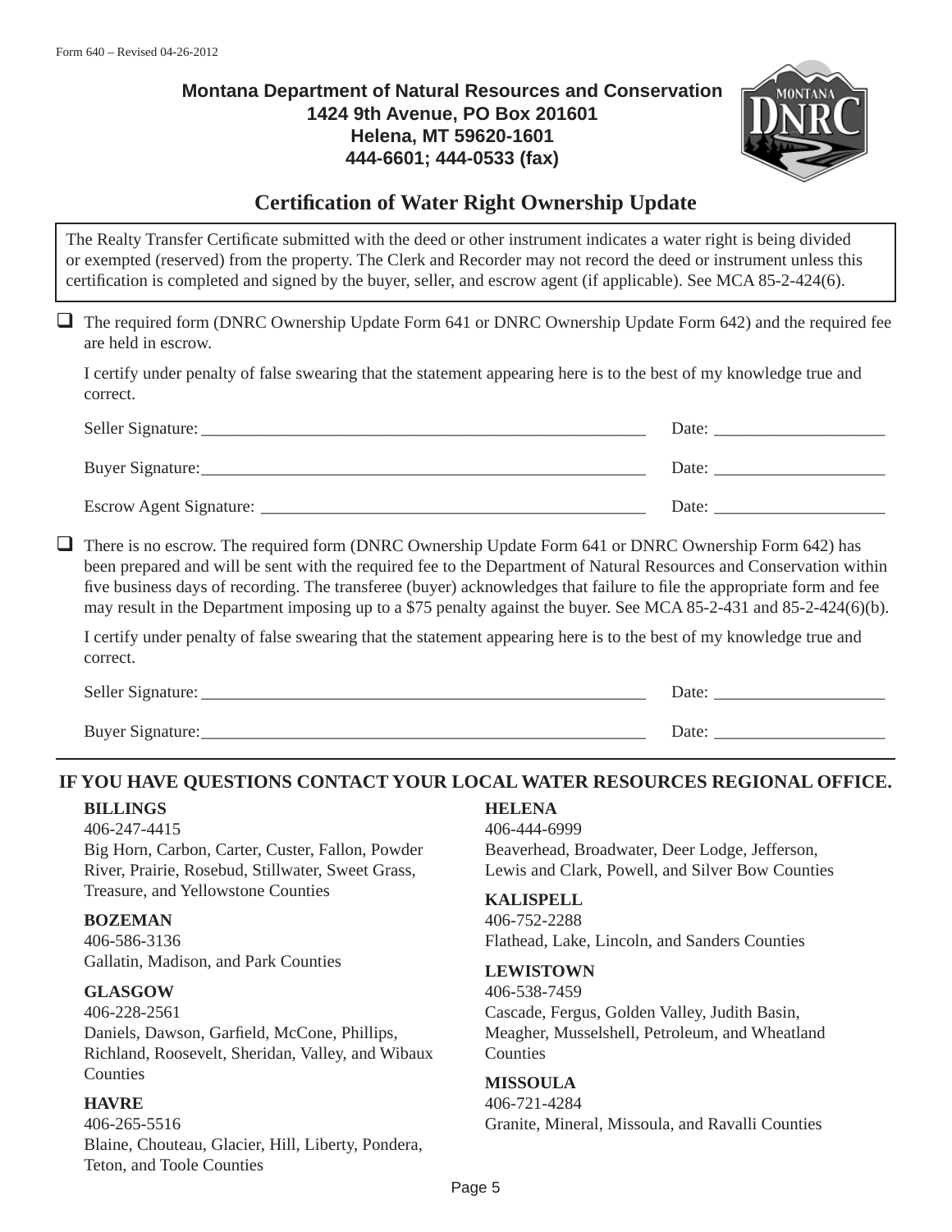# **Montana Department of Natural Resources and Conservation 1424 9th Avenue, PO Box 201601 Helena, MT 59620-1601 444-6601; 444-0533 (fax)**



# **Certifi cation of Water Right Ownership Update**

The Realty Transfer Certificate submitted with the deed or other instrument indicates a water right is being divided or exempted (reserved) from the property. The Clerk and Recorder may not record the deed or instrument unless this certification is completed and signed by the buyer, seller, and escrow agent (if applicable). See MCA 85-2-424(6).

 The required form (DNRC Ownership Update Form 641 or DNRC Ownership Update Form 642) and the required fee are held in escrow.

I certify under penalty of false swearing that the statement appearing here is to the best of my knowledge true and correct.

| Seller Signature:              | Date: |
|--------------------------------|-------|
| Buyer Signature:               | Date: |
| <b>Escrow Agent Signature:</b> | Date: |

 $\Box$  There is no escrow. The required form (DNRC Ownership Update Form 641 or DNRC Ownership Form 642) has been prepared and will be sent with the required fee to the Department of Natural Resources and Conservation within five business days of recording. The transferee (buyer) acknowledges that failure to file the appropriate form and fee may result in the Department imposing up to a \$75 penalty against the buyer. See MCA 85-2-431 and 85-2-424(6)(b).

I certify under penalty of false swearing that the statement appearing here is to the best of my knowledge true and correct.

| Seller Signature: | Date: |
|-------------------|-------|
| Buyer Signature:  | Date: |

## **IF YOU HAVE QUESTIONS CONTACT YOUR LOCAL WATER RESOURCES REGIONAL OFFICE.**

### **BILLINGS**

406-247-4415 Big Horn, Carbon, Carter, Custer, Fallon, Powder River, Prairie, Rosebud, Stillwater, Sweet Grass, Treasure, and Yellowstone Counties

### **BOZEMAN**

406-586-3136 Gallatin, Madison, and Park Counties

### **GLASGOW**

406-228-2561 Daniels, Dawson, Garfield, McCone, Phillips, Richland, Roosevelt, Sheridan, Valley, and Wibaux **Counties** 

### **HAVRE**

406-265-5516 Blaine, Chouteau, Glacier, Hill, Liberty, Pondera, Teton, and Toole Counties

## **HELENA**

406-444-6999 Beaverhead, Broadwater, Deer Lodge, Jefferson, Lewis and Clark, Powell, and Silver Bow Counties

## **KALISPELL**

406-752-2288 Flathead, Lake, Lincoln, and Sanders Counties

# **LEWISTOWN**

406-538-7459 Cascade, Fergus, Golden Valley, Judith Basin, Meagher, Musselshell, Petroleum, and Wheatland Counties

## **MISSOULA**

406-721-4284 Granite, Mineral, Missoula, and Ravalli Counties